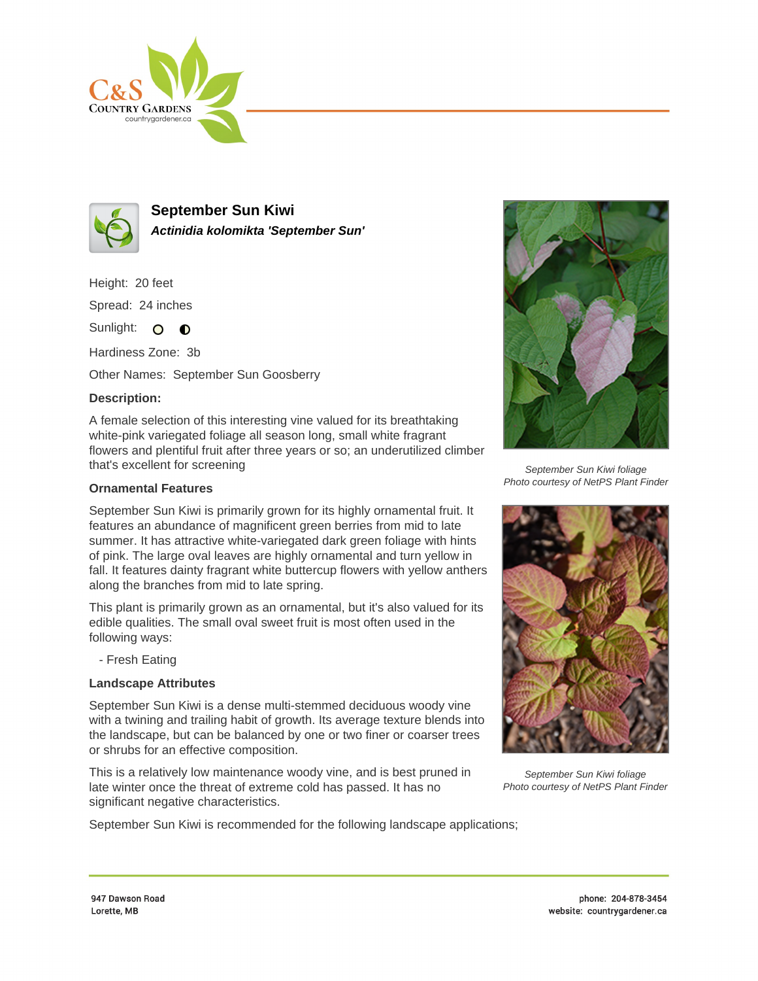



**September Sun Kiwi Actinidia kolomikta 'September Sun'**

Height: 20 feet Spread: 24 inches

Sunlight: O **O** 

Hardiness Zone: 3b

Other Names: September Sun Goosberry

## **Description:**

A female selection of this interesting vine valued for its breathtaking white-pink variegated foliage all season long, small white fragrant flowers and plentiful fruit after three years or so; an underutilized climber that's excellent for screening

## **Ornamental Features**

September Sun Kiwi is primarily grown for its highly ornamental fruit. It features an abundance of magnificent green berries from mid to late summer. It has attractive white-variegated dark green foliage with hints of pink. The large oval leaves are highly ornamental and turn yellow in fall. It features dainty fragrant white buttercup flowers with yellow anthers along the branches from mid to late spring.

This plant is primarily grown as an ornamental, but it's also valued for its edible qualities. The small oval sweet fruit is most often used in the following ways:

- Fresh Eating

## **Landscape Attributes**

September Sun Kiwi is a dense multi-stemmed deciduous woody vine with a twining and trailing habit of growth. Its average texture blends into the landscape, but can be balanced by one or two finer or coarser trees or shrubs for an effective composition.

This is a relatively low maintenance woody vine, and is best pruned in late winter once the threat of extreme cold has passed. It has no significant negative characteristics.

September Sun Kiwi is recommended for the following landscape applications;



September Sun Kiwi foliage Photo courtesy of NetPS Plant Finder



September Sun Kiwi foliage Photo courtesy of NetPS Plant Finder